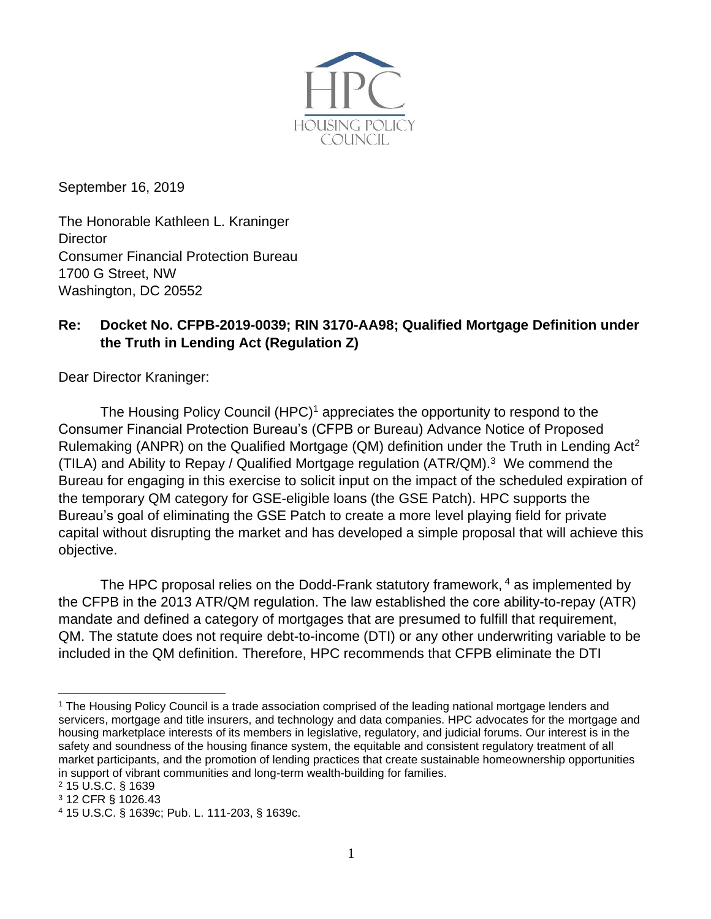

September 16, 2019

The Honorable Kathleen L. Kraninger **Director** Consumer Financial Protection Bureau 1700 G Street, NW Washington, DC 20552

## **Re: Docket No. CFPB-2019-0039; RIN 3170-AA98; Qualified Mortgage Definition under the Truth in Lending Act (Regulation Z)**

Dear Director Kraninger:

The Housing Policy Council (HPC)<sup>1</sup> appreciates the opportunity to respond to the Consumer Financial Protection Bureau's (CFPB or Bureau) Advance Notice of Proposed Rulemaking (ANPR) on the Qualified Mortgage (QM) definition under the Truth in Lending Act<sup>2</sup> (TILA) and Ability to Repay / Qualified Mortgage regulation (ATR/QM). <sup>3</sup> We commend the Bureau for engaging in this exercise to solicit input on the impact of the scheduled expiration of the temporary QM category for GSE-eligible loans (the GSE Patch). HPC supports the Bureau's goal of eliminating the GSE Patch to create a more level playing field for private capital without disrupting the market and has developed a simple proposal that will achieve this objective.

The HPC proposal relies on the Dodd-Frank statutory framework, <sup>4</sup> as implemented by the CFPB in the 2013 ATR/QM regulation. The law established the core ability-to-repay (ATR) mandate and defined a category of mortgages that are presumed to fulfill that requirement, QM. The statute does not require debt-to-income (DTI) or any other underwriting variable to be included in the QM definition. Therefore, HPC recommends that CFPB eliminate the DTI

<sup>1</sup> The Housing Policy Council is a trade association comprised of the leading national mortgage lenders and servicers, mortgage and title insurers, and technology and data companies. HPC advocates for the mortgage and housing marketplace interests of its members in legislative, regulatory, and judicial forums. Our interest is in the safety and soundness of the housing finance system, the equitable and consistent regulatory treatment of all market participants, and the promotion of lending practices that create sustainable homeownership opportunities in support of vibrant communities and long-term wealth-building for families.

<sup>2</sup> 15 U.S.C. § 1639

<sup>3</sup> 12 CFR § 1026.43

<sup>4</sup> 15 U.S.C. § 1639c; Pub. L. 111-203, § 1639c.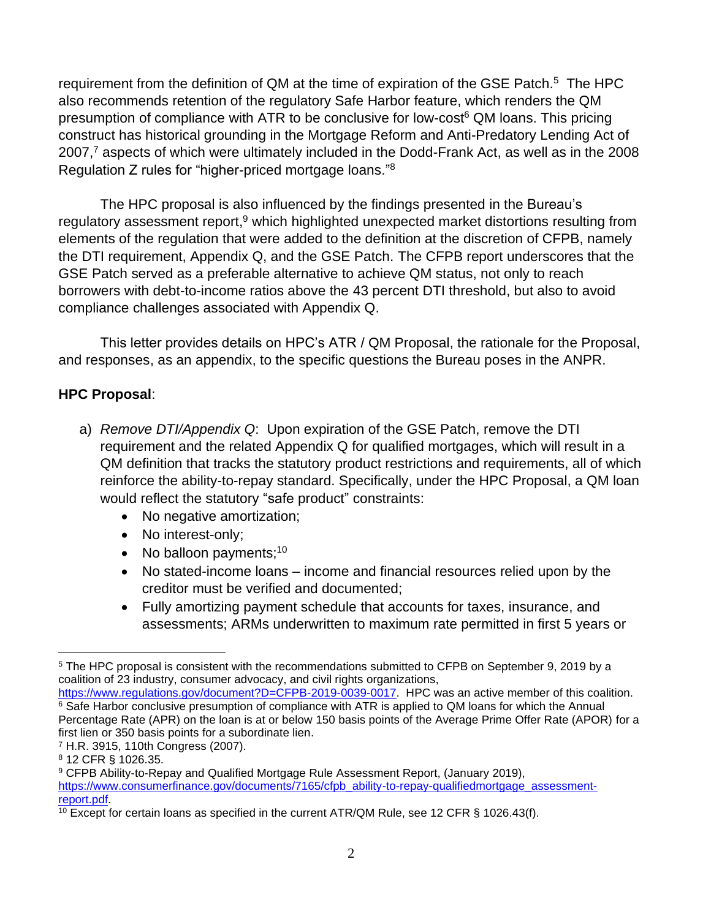requirement from the definition of QM at the time of expiration of the GSE Patch.<sup>5</sup> The HPC also recommends retention of the regulatory Safe Harbor feature, which renders the QM presumption of compliance with ATR to be conclusive for low-cost<sup>6</sup> QM loans. This pricing construct has historical grounding in the Mortgage Reform and Anti-Predatory Lending Act of 2007,<sup>7</sup> aspects of which were ultimately included in the Dodd-Frank Act, as well as in the 2008 Regulation Z rules for "higher-priced mortgage loans." 8

The HPC proposal is also influenced by the findings presented in the Bureau's regulatory assessment report,<sup>9</sup> which highlighted unexpected market distortions resulting from elements of the regulation that were added to the definition at the discretion of CFPB, namely the DTI requirement, Appendix Q, and the GSE Patch. The CFPB report underscores that the GSE Patch served as a preferable alternative to achieve QM status, not only to reach borrowers with debt-to-income ratios above the 43 percent DTI threshold, but also to avoid compliance challenges associated with Appendix Q.

This letter provides details on HPC's ATR / QM Proposal, the rationale for the Proposal, and responses, as an appendix, to the specific questions the Bureau poses in the ANPR.

## **HPC Proposal**:

- a) *Remove DTI/Appendix Q*: Upon expiration of the GSE Patch, remove the DTI requirement and the related Appendix Q for qualified mortgages, which will result in a QM definition that tracks the statutory product restrictions and requirements, all of which reinforce the ability-to-repay standard. Specifically, under the HPC Proposal, a QM loan would reflect the statutory "safe product" constraints:
	- No negative amortization;
	- No interest-only;
	- No balloon payments; $10<sub>10</sub>$
	- No stated-income loans income and financial resources relied upon by the creditor must be verified and documented;
	- Fully amortizing payment schedule that accounts for taxes, insurance, and assessments; ARMs underwritten to maximum rate permitted in first 5 years or

<sup>5</sup> The HPC proposal is consistent with the recommendations submitted to CFPB on September 9, 2019 by a coalition of 23 industry, consumer advocacy, and civil rights organizations,

[https://www.regulations.gov/document?D=CFPB-2019-0039-0017.](https://www.regulations.gov/document?D=CFPB-2019-0039-0017) HPC was an active member of this coalition. <sup>6</sup> Safe Harbor conclusive presumption of compliance with ATR is applied to QM loans for which the Annual Percentage Rate (APR) on the loan is at or below 150 basis points of the Average Prime Offer Rate (APOR) for a first lien or 350 basis points for a subordinate lien.

<sup>7</sup> H.R. 3915, 110th Congress (2007).

<sup>8</sup> 12 CFR § 1026.35.

<sup>9</sup> CFPB Ability-to-Repay and Qualified Mortgage Rule Assessment Report, (January 2019), [https://www.consumerfinance.gov/documents/7165/cfpb\\_ability-to-repay-qualifiedmortgage\\_assessment](https://www.consumerfinance.gov/documents/7165/cfpb_ability-to-repay-qualifiedmortgage_assessment-report.pdf)[report.pdf.](https://www.consumerfinance.gov/documents/7165/cfpb_ability-to-repay-qualifiedmortgage_assessment-report.pdf)

<sup>&</sup>lt;sup>10</sup> Except for certain loans as specified in the current ATR/QM Rule, see 12 CFR § 1026.43(f).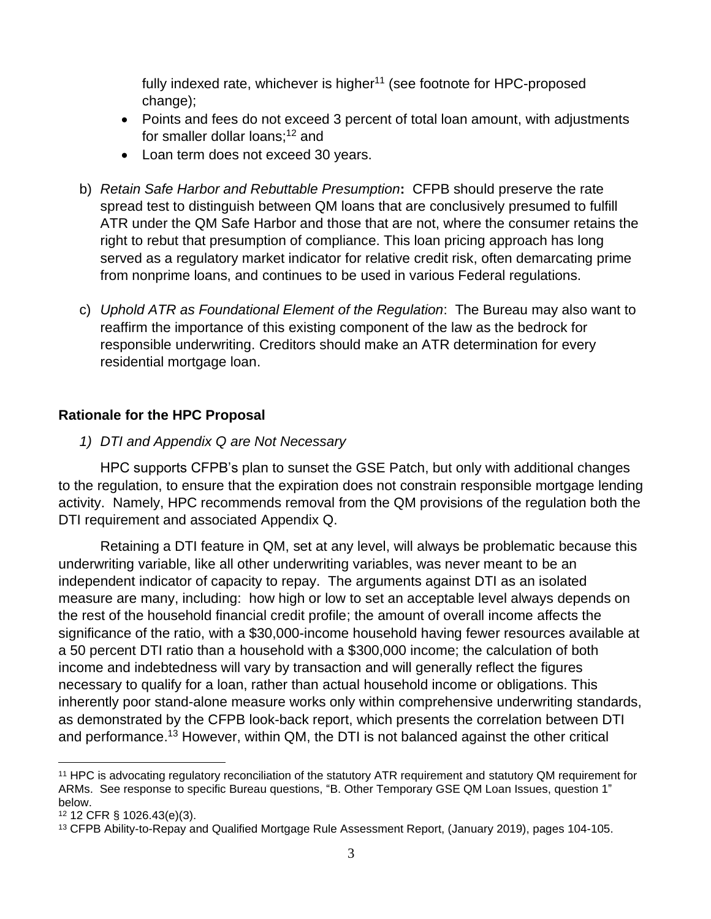fully indexed rate, whichever is higher<sup>11</sup> (see footnote for HPC-proposed change);

- Points and fees do not exceed 3 percent of total loan amount, with adjustments for smaller dollar loans; <sup>12</sup> and
- Loan term does not exceed 30 years.
- b) *Retain Safe Harbor and Rebuttable Presumption***:** CFPB should preserve the rate spread test to distinguish between QM loans that are conclusively presumed to fulfill ATR under the QM Safe Harbor and those that are not, where the consumer retains the right to rebut that presumption of compliance. This loan pricing approach has long served as a regulatory market indicator for relative credit risk, often demarcating prime from nonprime loans, and continues to be used in various Federal regulations.
- c) *Uphold ATR as Foundational Element of the Regulation*: The Bureau may also want to reaffirm the importance of this existing component of the law as the bedrock for responsible underwriting. Creditors should make an ATR determination for every residential mortgage loan.

## **Rationale for the HPC Proposal**

*1) DTI and Appendix Q are Not Necessary*

HPC supports CFPB's plan to sunset the GSE Patch, but only with additional changes to the regulation, to ensure that the expiration does not constrain responsible mortgage lending activity. Namely, HPC recommends removal from the QM provisions of the regulation both the DTI requirement and associated Appendix Q.

Retaining a DTI feature in QM, set at any level, will always be problematic because this underwriting variable, like all other underwriting variables, was never meant to be an independent indicator of capacity to repay. The arguments against DTI as an isolated measure are many, including: how high or low to set an acceptable level always depends on the rest of the household financial credit profile; the amount of overall income affects the significance of the ratio, with a \$30,000-income household having fewer resources available at a 50 percent DTI ratio than a household with a \$300,000 income; the calculation of both income and indebtedness will vary by transaction and will generally reflect the figures necessary to qualify for a loan, rather than actual household income or obligations. This inherently poor stand-alone measure works only within comprehensive underwriting standards, as demonstrated by the CFPB look-back report, which presents the correlation between DTI and performance.<sup>13</sup> However, within QM, the DTI is not balanced against the other critical

<sup>11</sup> HPC is advocating regulatory reconciliation of the statutory ATR requirement and statutory QM requirement for ARMs. See response to specific Bureau questions, "B. Other Temporary GSE QM Loan Issues, question 1" below.

<sup>12</sup> 12 CFR § 1026.43(e)(3).

<sup>13</sup> CFPB Ability-to-Repay and Qualified Mortgage Rule Assessment Report, (January 2019), pages 104-105.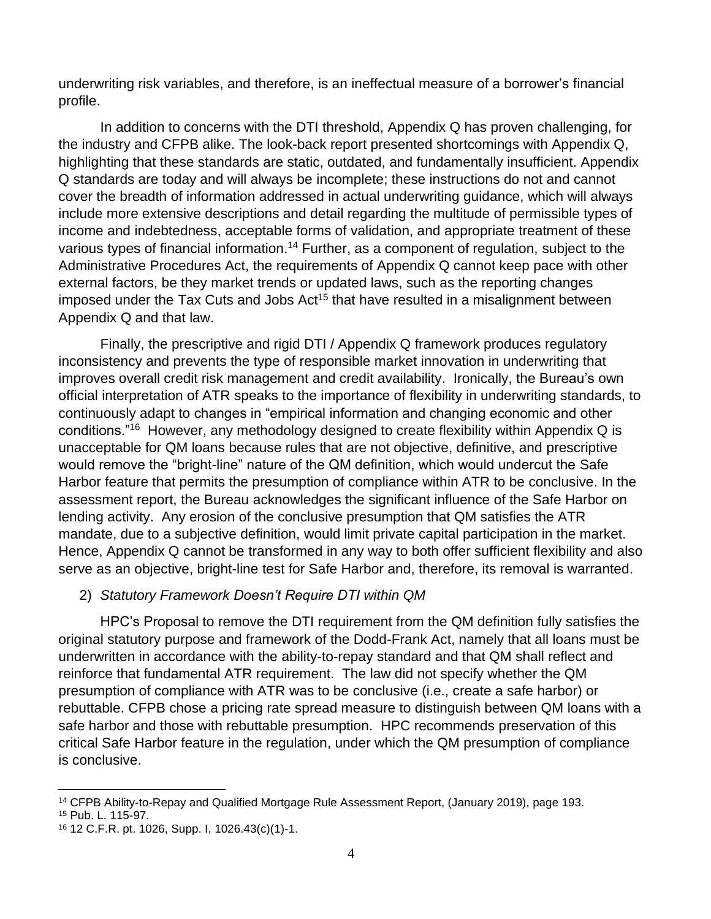underwriting risk variables, and therefore, is an ineffectual measure of a borrower's financial profile.

In addition to concerns with the DTI threshold, Appendix Q has proven challenging, for the industry and CFPB alike. The look-back report presented shortcomings with Appendix Q, highlighting that these standards are static, outdated, and fundamentally insufficient. Appendix Q standards are today and will always be incomplete; these instructions do not and cannot cover the breadth of information addressed in actual underwriting guidance, which will always include more extensive descriptions and detail regarding the multitude of permissible types of income and indebtedness, acceptable forms of validation, and appropriate treatment of these various types of financial information.<sup>14</sup> Further, as a component of regulation, subject to the Administrative Procedures Act, the requirements of Appendix Q cannot keep pace with other external factors, be they market trends or updated laws, such as the reporting changes imposed under the Tax Cuts and Jobs  $Act^{15}$  that have resulted in a misalignment between Appendix Q and that law.

Finally, the prescriptive and rigid DTI / Appendix Q framework produces regulatory inconsistency and prevents the type of responsible market innovation in underwriting that improves overall credit risk management and credit availability. Ironically, the Bureau's own official interpretation of ATR speaks to the importance of flexibility in underwriting standards, to continuously adapt to changes in "empirical information and changing economic and other conditions."<sup>16</sup> However, any methodology designed to create flexibility within Appendix Q is unacceptable for QM loans because rules that are not objective, definitive, and prescriptive would remove the "bright-line" nature of the QM definition, which would undercut the Safe Harbor feature that permits the presumption of compliance within ATR to be conclusive. In the assessment report, the Bureau acknowledges the significant influence of the Safe Harbor on lending activity. Any erosion of the conclusive presumption that QM satisfies the ATR mandate, due to a subjective definition, would limit private capital participation in the market. Hence, Appendix Q cannot be transformed in any way to both offer sufficient flexibility and also serve as an objective, bright-line test for Safe Harbor and, therefore, its removal is warranted.

## 2) *Statutory Framework Doesn't Require DTI within QM*

HPC's Proposal to remove the DTI requirement from the QM definition fully satisfies the original statutory purpose and framework of the Dodd-Frank Act, namely that all loans must be underwritten in accordance with the ability-to-repay standard and that QM shall reflect and reinforce that fundamental ATR requirement. The law did not specify whether the QM presumption of compliance with ATR was to be conclusive (i.e., create a safe harbor) or rebuttable. CFPB chose a pricing rate spread measure to distinguish between QM loans with a safe harbor and those with rebuttable presumption. HPC recommends preservation of this critical Safe Harbor feature in the regulation, under which the QM presumption of compliance is conclusive.

<sup>14</sup> CFPB Ability-to-Repay and Qualified Mortgage Rule Assessment Report, (January 2019), page 193.

<sup>15</sup> Pub. L. 115-97.

<sup>16</sup> 12 C.F.R. pt. 1026, Supp. I, 1026.43(c)(1)-1.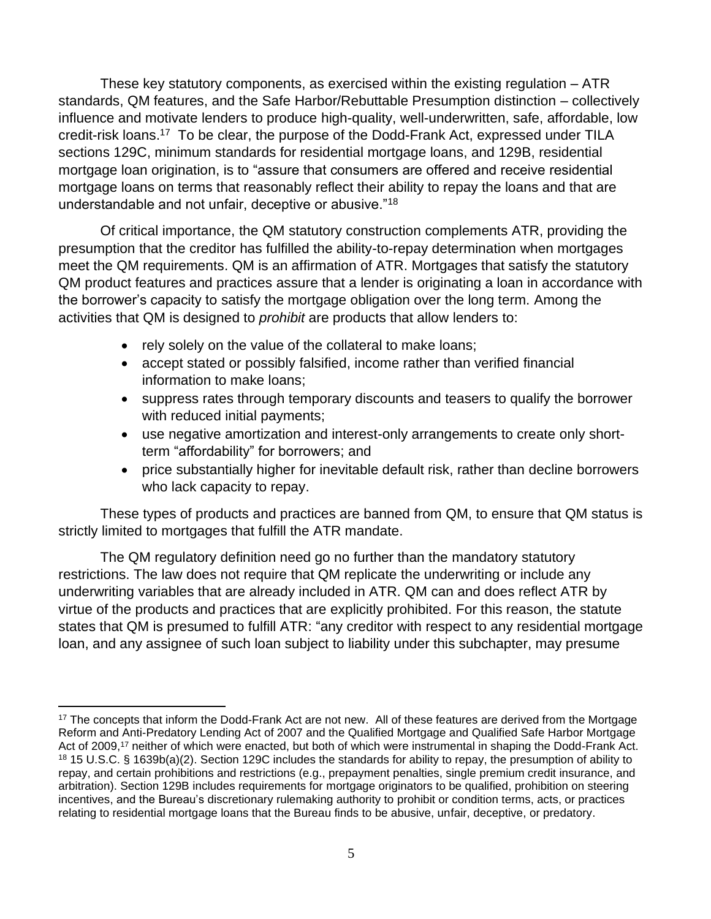These key statutory components, as exercised within the existing regulation – ATR standards, QM features, and the Safe Harbor/Rebuttable Presumption distinction – collectively influence and motivate lenders to produce high-quality, well-underwritten, safe, affordable, low credit-risk loans.<sup>17</sup> To be clear, the purpose of the Dodd-Frank Act, expressed under TILA sections 129C, minimum standards for residential mortgage loans, and 129B, residential mortgage loan origination, is to "assure that consumers are offered and receive residential mortgage loans on terms that reasonably reflect their ability to repay the loans and that are understandable and not unfair, deceptive or abusive."<sup>18</sup>

Of critical importance, the QM statutory construction complements ATR, providing the presumption that the creditor has fulfilled the ability-to-repay determination when mortgages meet the QM requirements. QM is an affirmation of ATR. Mortgages that satisfy the statutory QM product features and practices assure that a lender is originating a loan in accordance with the borrower's capacity to satisfy the mortgage obligation over the long term. Among the activities that QM is designed to *prohibit* are products that allow lenders to:

- rely solely on the value of the collateral to make loans;
- accept stated or possibly falsified, income rather than verified financial information to make loans;
- suppress rates through temporary discounts and teasers to qualify the borrower with reduced initial payments;
- use negative amortization and interest-only arrangements to create only shortterm "affordability" for borrowers; and
- price substantially higher for inevitable default risk, rather than decline borrowers who lack capacity to repay.

These types of products and practices are banned from QM, to ensure that QM status is strictly limited to mortgages that fulfill the ATR mandate.

The QM regulatory definition need go no further than the mandatory statutory restrictions. The law does not require that QM replicate the underwriting or include any underwriting variables that are already included in ATR. QM can and does reflect ATR by virtue of the products and practices that are explicitly prohibited. For this reason, the statute states that QM is presumed to fulfill ATR: "any creditor with respect to any residential mortgage loan, and any assignee of such loan subject to liability under this subchapter, may presume

<sup>&</sup>lt;sup>17</sup> The concepts that inform the Dodd-Frank Act are not new. All of these features are derived from the Mortgage Reform and Anti-Predatory Lending Act of 2007 and the Qualified Mortgage and Qualified Safe Harbor Mortgage Act of 2009,<sup>17</sup> neither of which were enacted, but both of which were instrumental in shaping the Dodd-Frank Act. <sup>18</sup> 15 U.S.C. § 1639b(a)(2). Section 129C includes the standards for ability to repay, the presumption of ability to repay, and certain prohibitions and restrictions (e.g., prepayment penalties, single premium credit insurance, and arbitration). Section 129B includes requirements for mortgage originators to be qualified, prohibition on steering incentives, and the Bureau's discretionary rulemaking authority to prohibit or condition terms, acts, or practices relating to residential mortgage loans that the Bureau finds to be abusive, unfair, deceptive, or predatory.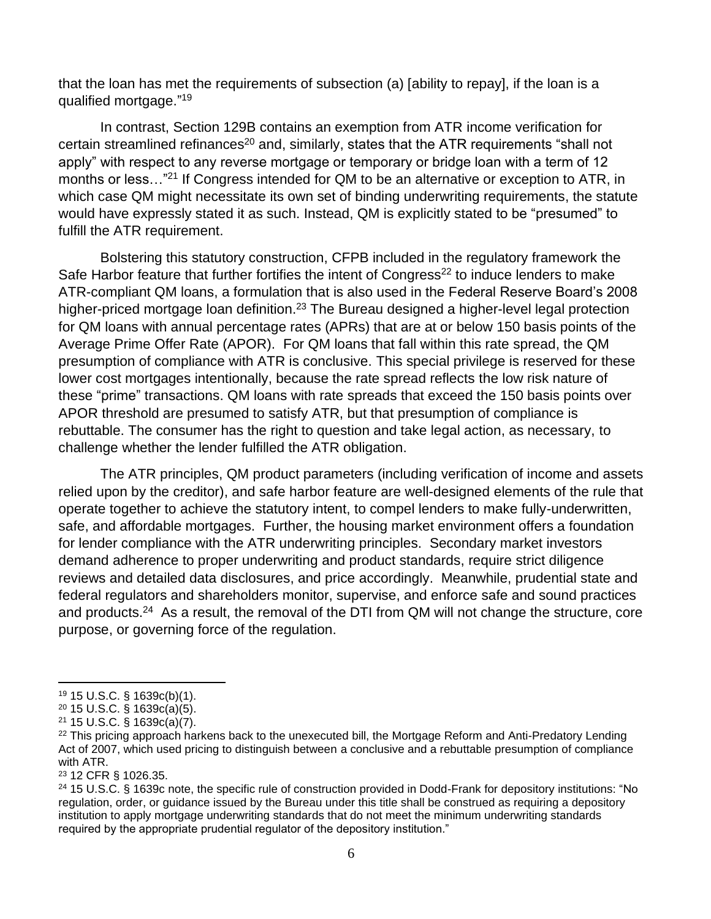that the loan has met the requirements of subsection (a) [ability to repay], if the loan is a qualified mortgage."<sup>19</sup>

In contrast, Section 129B contains an exemption from ATR income verification for certain streamlined refinances<sup>20</sup> and, similarly, states that the ATR requirements "shall not apply" with respect to any reverse mortgage or temporary or bridge loan with a term of 12 months or less..."<sup>21</sup> If Congress intended for QM to be an alternative or exception to ATR, in which case QM might necessitate its own set of binding underwriting requirements, the statute would have expressly stated it as such. Instead, QM is explicitly stated to be "presumed" to fulfill the ATR requirement.

Bolstering this statutory construction, CFPB included in the regulatory framework the Safe Harbor feature that further fortifies the intent of Congress<sup>22</sup> to induce lenders to make ATR-compliant QM loans, a formulation that is also used in the Federal Reserve Board's 2008 higher-priced mortgage loan definition.<sup>23</sup> The Bureau designed a higher-level legal protection for QM loans with annual percentage rates (APRs) that are at or below 150 basis points of the Average Prime Offer Rate (APOR). For QM loans that fall within this rate spread, the QM presumption of compliance with ATR is conclusive. This special privilege is reserved for these lower cost mortgages intentionally, because the rate spread reflects the low risk nature of these "prime" transactions. QM loans with rate spreads that exceed the 150 basis points over APOR threshold are presumed to satisfy ATR, but that presumption of compliance is rebuttable. The consumer has the right to question and take legal action, as necessary, to challenge whether the lender fulfilled the ATR obligation.

The ATR principles, QM product parameters (including verification of income and assets relied upon by the creditor), and safe harbor feature are well-designed elements of the rule that operate together to achieve the statutory intent, to compel lenders to make fully-underwritten, safe, and affordable mortgages. Further, the housing market environment offers a foundation for lender compliance with the ATR underwriting principles. Secondary market investors demand adherence to proper underwriting and product standards, require strict diligence reviews and detailed data disclosures, and price accordingly. Meanwhile, prudential state and federal regulators and shareholders monitor, supervise, and enforce safe and sound practices and products.<sup>24</sup> As a result, the removal of the DTI from QM will not change the structure, core purpose, or governing force of the regulation.

- <sup>19</sup> 15 U.S.C. § 1639c(b)(1).
- <sup>20</sup> 15 U.S.C. § 1639c(a)(5).

<sup>23</sup> 12 CFR § 1026.35.

<sup>21</sup> 15 U.S.C. § 1639c(a)(7).

<sup>&</sup>lt;sup>22</sup> This pricing approach harkens back to the unexecuted bill, the Mortgage Reform and Anti-Predatory Lending Act of 2007, which used pricing to distinguish between a conclusive and a rebuttable presumption of compliance with ATR.

<sup>24</sup> 15 U.S.C. § 1639c note, the specific rule of construction provided in Dodd-Frank for depository institutions: "No regulation, order, or guidance issued by the Bureau under this title shall be construed as requiring a depository institution to apply mortgage underwriting standards that do not meet the minimum underwriting standards required by the appropriate prudential regulator of the depository institution."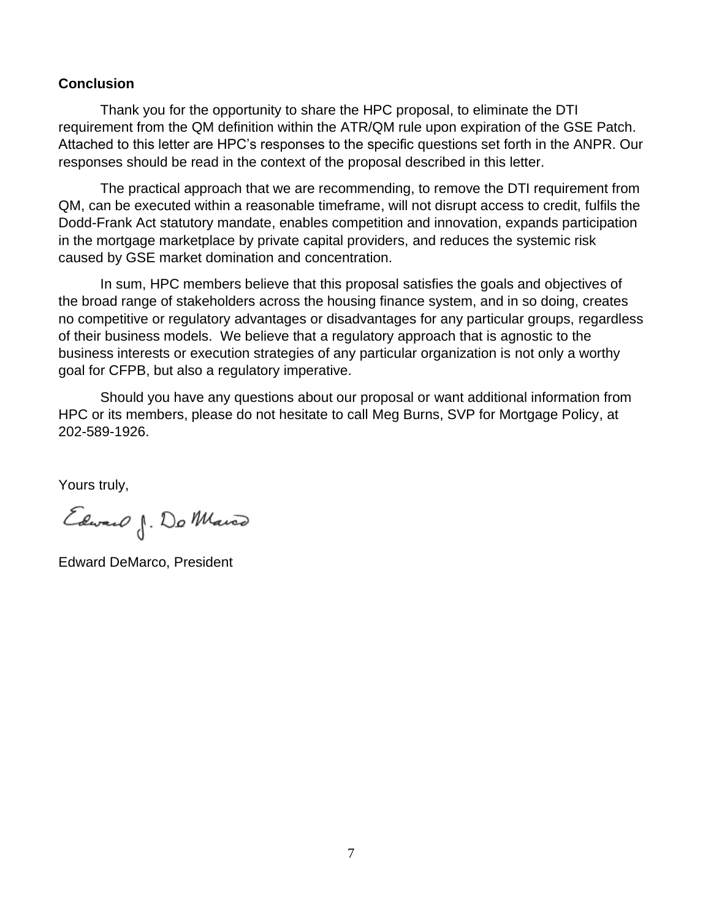#### **Conclusion**

Thank you for the opportunity to share the HPC proposal, to eliminate the DTI requirement from the QM definition within the ATR/QM rule upon expiration of the GSE Patch. Attached to this letter are HPC's responses to the specific questions set forth in the ANPR. Our responses should be read in the context of the proposal described in this letter.

The practical approach that we are recommending, to remove the DTI requirement from QM, can be executed within a reasonable timeframe, will not disrupt access to credit, fulfils the Dodd-Frank Act statutory mandate, enables competition and innovation, expands participation in the mortgage marketplace by private capital providers, and reduces the systemic risk caused by GSE market domination and concentration.

In sum, HPC members believe that this proposal satisfies the goals and objectives of the broad range of stakeholders across the housing finance system, and in so doing, creates no competitive or regulatory advantages or disadvantages for any particular groups, regardless of their business models. We believe that a regulatory approach that is agnostic to the business interests or execution strategies of any particular organization is not only a worthy goal for CFPB, but also a regulatory imperative.

Should you have any questions about our proposal or want additional information from HPC or its members, please do not hesitate to call Meg Burns, SVP for Mortgage Policy, at 202-589-1926.

Yours truly,

Edward J. Do Marco

Edward DeMarco, President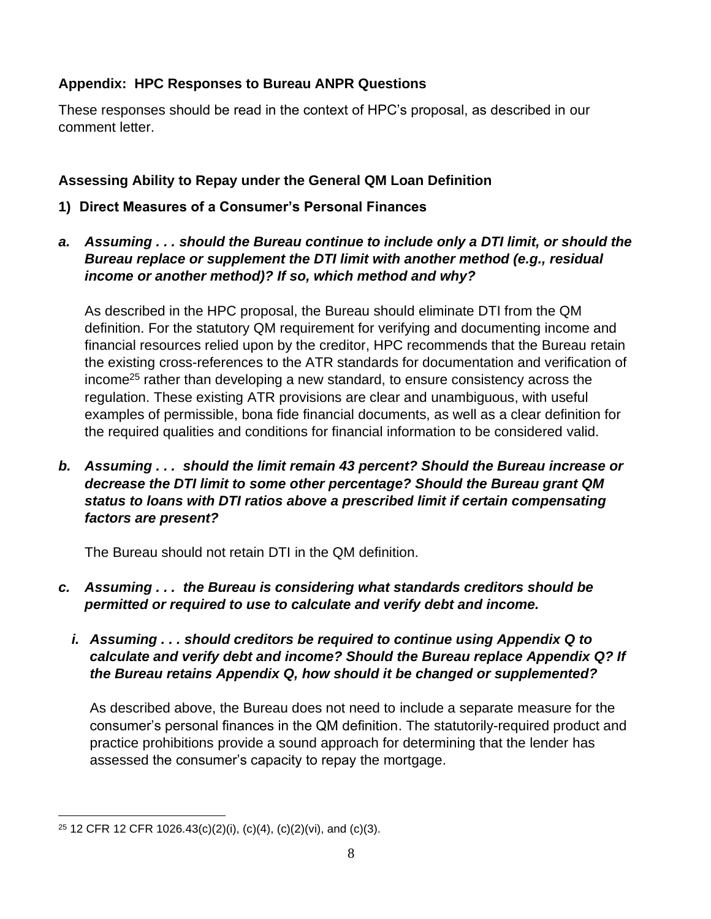# **Appendix: HPC Responses to Bureau ANPR Questions**

These responses should be read in the context of HPC's proposal, as described in our comment letter.

## **Assessing Ability to Repay under the General QM Loan Definition**

- **1) Direct Measures of a Consumer's Personal Finances**
- *a. Assuming . . . should the Bureau continue to include only a DTI limit, or should the Bureau replace or supplement the DTI limit with another method (e.g., residual income or another method)? If so, which method and why?*

As described in the HPC proposal, the Bureau should eliminate DTI from the QM definition. For the statutory QM requirement for verifying and documenting income and financial resources relied upon by the creditor, HPC recommends that the Bureau retain the existing cross-references to the ATR standards for documentation and verification of income<sup>25</sup> rather than developing a new standard, to ensure consistency across the regulation. These existing ATR provisions are clear and unambiguous, with useful examples of permissible, bona fide financial documents, as well as a clear definition for the required qualities and conditions for financial information to be considered valid.

*b. Assuming . . . should the limit remain 43 percent? Should the Bureau increase or decrease the DTI limit to some other percentage? Should the Bureau grant QM status to loans with DTI ratios above a prescribed limit if certain compensating factors are present?*

The Bureau should not retain DTI in the QM definition.

- *c. Assuming . . . the Bureau is considering what standards creditors should be permitted or required to use to calculate and verify debt and income.* 
	- *i. Assuming . . . should creditors be required to continue using Appendix Q to calculate and verify debt and income? Should the Bureau replace Appendix Q? If the Bureau retains Appendix Q, how should it be changed or supplemented?*

As described above, the Bureau does not need to include a separate measure for the consumer's personal finances in the QM definition. The statutorily-required product and practice prohibitions provide a sound approach for determining that the lender has assessed the consumer's capacity to repay the mortgage.

<sup>25</sup> 12 CFR 12 CFR 1026.43(c)(2)(i), (c)(4), (c)(2)(vi), and (c)(3).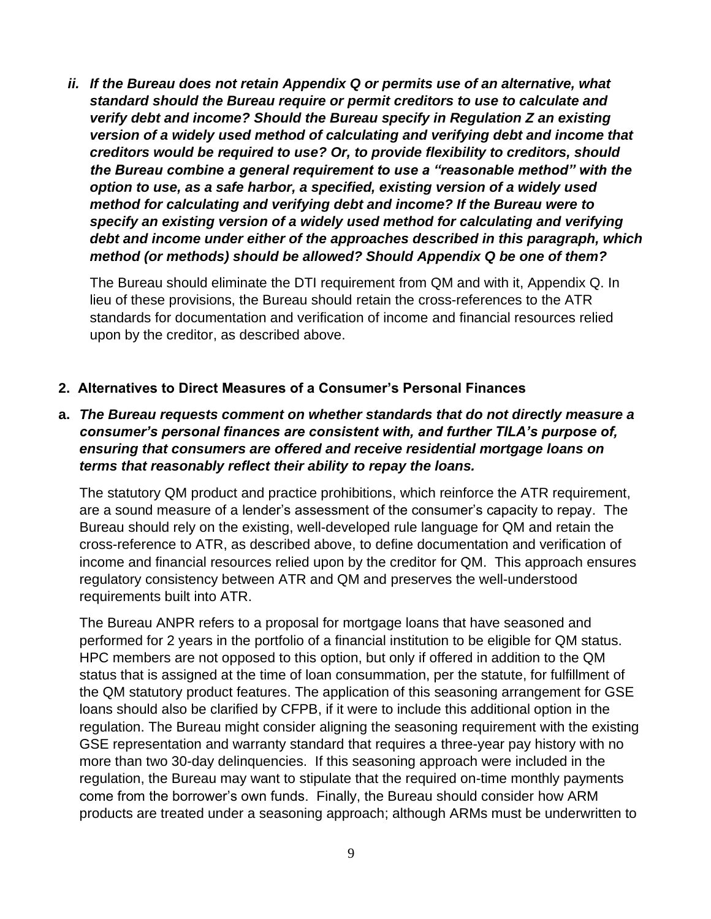*ii. If the Bureau does not retain Appendix Q or permits use of an alternative, what standard should the Bureau require or permit creditors to use to calculate and verify debt and income? Should the Bureau specify in Regulation Z an existing version of a widely used method of calculating and verifying debt and income that creditors would be required to use? Or, to provide flexibility to creditors, should the Bureau combine a general requirement to use a "reasonable method" with the option to use, as a safe harbor, a specified, existing version of a widely used method for calculating and verifying debt and income? If the Bureau were to specify an existing version of a widely used method for calculating and verifying debt and income under either of the approaches described in this paragraph, which method (or methods) should be allowed? Should Appendix Q be one of them?*

The Bureau should eliminate the DTI requirement from QM and with it, Appendix Q. In lieu of these provisions, the Bureau should retain the cross-references to the ATR standards for documentation and verification of income and financial resources relied upon by the creditor, as described above.

## **2. Alternatives to Direct Measures of a Consumer's Personal Finances**

**a.** *The Bureau requests comment on whether standards that do not directly measure a consumer's personal finances are consistent with, and further TILA's purpose of, ensuring that consumers are offered and receive residential mortgage loans on terms that reasonably reflect their ability to repay the loans.*

The statutory QM product and practice prohibitions, which reinforce the ATR requirement, are a sound measure of a lender's assessment of the consumer's capacity to repay. The Bureau should rely on the existing, well-developed rule language for QM and retain the cross-reference to ATR, as described above, to define documentation and verification of income and financial resources relied upon by the creditor for QM. This approach ensures regulatory consistency between ATR and QM and preserves the well-understood requirements built into ATR.

The Bureau ANPR refers to a proposal for mortgage loans that have seasoned and performed for 2 years in the portfolio of a financial institution to be eligible for QM status. HPC members are not opposed to this option, but only if offered in addition to the QM status that is assigned at the time of loan consummation, per the statute, for fulfillment of the QM statutory product features. The application of this seasoning arrangement for GSE loans should also be clarified by CFPB, if it were to include this additional option in the regulation. The Bureau might consider aligning the seasoning requirement with the existing GSE representation and warranty standard that requires a three-year pay history with no more than two 30-day delinquencies. If this seasoning approach were included in the regulation, the Bureau may want to stipulate that the required on-time monthly payments come from the borrower's own funds. Finally, the Bureau should consider how ARM products are treated under a seasoning approach; although ARMs must be underwritten to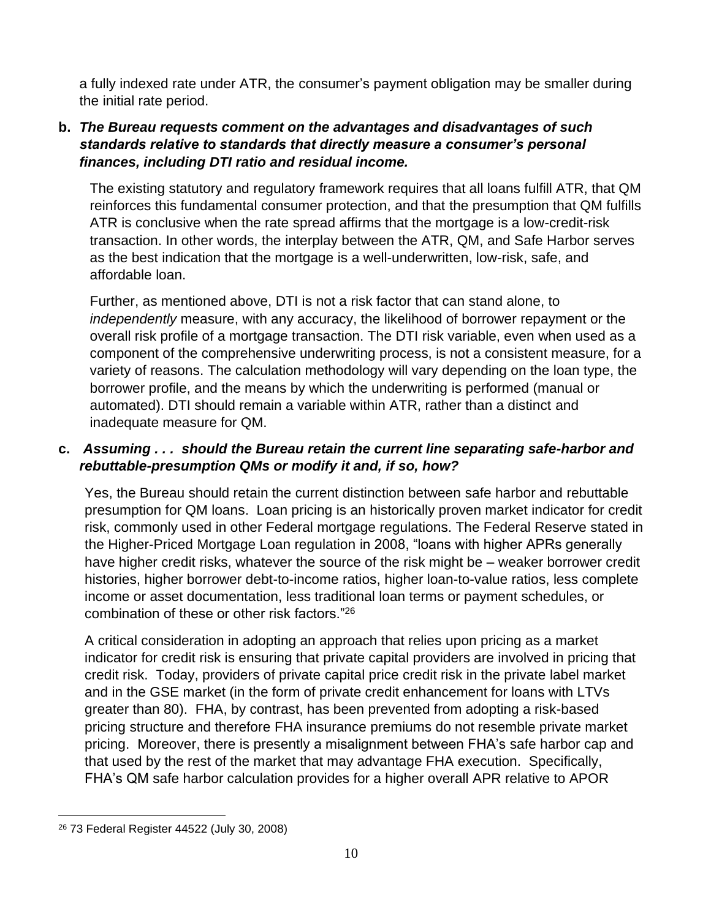a fully indexed rate under ATR, the consumer's payment obligation may be smaller during the initial rate period.

## **b.** *The Bureau requests comment on the advantages and disadvantages of such standards relative to standards that directly measure a consumer's personal finances, including DTI ratio and residual income.*

The existing statutory and regulatory framework requires that all loans fulfill ATR, that QM reinforces this fundamental consumer protection, and that the presumption that QM fulfills ATR is conclusive when the rate spread affirms that the mortgage is a low-credit-risk transaction. In other words, the interplay between the ATR, QM, and Safe Harbor serves as the best indication that the mortgage is a well-underwritten, low-risk, safe, and affordable loan.

Further, as mentioned above, DTI is not a risk factor that can stand alone, to *independently* measure, with any accuracy, the likelihood of borrower repayment or the overall risk profile of a mortgage transaction. The DTI risk variable, even when used as a component of the comprehensive underwriting process, is not a consistent measure, for a variety of reasons. The calculation methodology will vary depending on the loan type, the borrower profile, and the means by which the underwriting is performed (manual or automated). DTI should remain a variable within ATR, rather than a distinct and inadequate measure for QM.

## **c.** *Assuming . . . should the Bureau retain the current line separating safe-harbor and rebuttable-presumption QMs or modify it and, if so, how?*

Yes, the Bureau should retain the current distinction between safe harbor and rebuttable presumption for QM loans. Loan pricing is an historically proven market indicator for credit risk, commonly used in other Federal mortgage regulations. The Federal Reserve stated in the Higher-Priced Mortgage Loan regulation in 2008, "loans with higher APRs generally have higher credit risks, whatever the source of the risk might be – weaker borrower credit histories, higher borrower debt-to-income ratios, higher loan-to-value ratios, less complete income or asset documentation, less traditional loan terms or payment schedules, or combination of these or other risk factors."<sup>26</sup>

A critical consideration in adopting an approach that relies upon pricing as a market indicator for credit risk is ensuring that private capital providers are involved in pricing that credit risk. Today, providers of private capital price credit risk in the private label market and in the GSE market (in the form of private credit enhancement for loans with LTVs greater than 80). FHA, by contrast, has been prevented from adopting a risk-based pricing structure and therefore FHA insurance premiums do not resemble private market pricing. Moreover, there is presently a misalignment between FHA's safe harbor cap and that used by the rest of the market that may advantage FHA execution. Specifically, FHA's QM safe harbor calculation provides for a higher overall APR relative to APOR

<sup>26</sup> 73 Federal Register 44522 (July 30, 2008)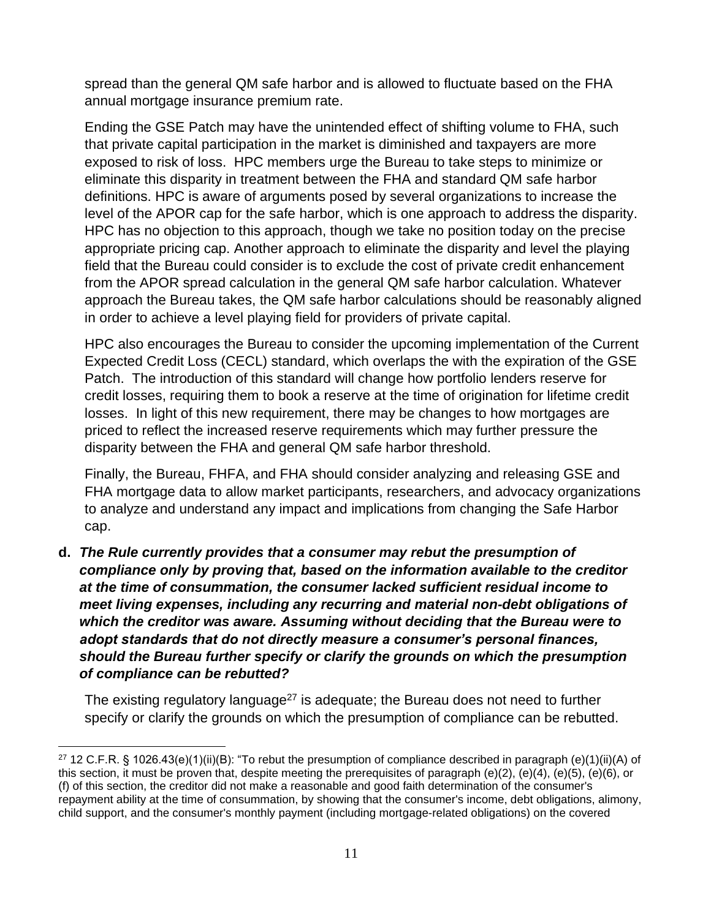spread than the general QM safe harbor and is allowed to fluctuate based on the FHA annual mortgage insurance premium rate.

Ending the GSE Patch may have the unintended effect of shifting volume to FHA, such that private capital participation in the market is diminished and taxpayers are more exposed to risk of loss. HPC members urge the Bureau to take steps to minimize or eliminate this disparity in treatment between the FHA and standard QM safe harbor definitions. HPC is aware of arguments posed by several organizations to increase the level of the APOR cap for the safe harbor, which is one approach to address the disparity. HPC has no objection to this approach, though we take no position today on the precise appropriate pricing cap. Another approach to eliminate the disparity and level the playing field that the Bureau could consider is to exclude the cost of private credit enhancement from the APOR spread calculation in the general QM safe harbor calculation. Whatever approach the Bureau takes, the QM safe harbor calculations should be reasonably aligned in order to achieve a level playing field for providers of private capital.

HPC also encourages the Bureau to consider the upcoming implementation of the Current Expected Credit Loss (CECL) standard, which overlaps the with the expiration of the GSE Patch. The introduction of this standard will change how portfolio lenders reserve for credit losses, requiring them to book a reserve at the time of origination for lifetime credit losses. In light of this new requirement, there may be changes to how mortgages are priced to reflect the increased reserve requirements which may further pressure the disparity between the FHA and general QM safe harbor threshold.

Finally, the Bureau, FHFA, and FHA should consider analyzing and releasing GSE and FHA mortgage data to allow market participants, researchers, and advocacy organizations to analyze and understand any impact and implications from changing the Safe Harbor cap.

**d.** *The Rule currently provides that a consumer may rebut the presumption of compliance only by proving that, based on the information available to the creditor at the time of consummation, the consumer lacked sufficient residual income to meet living expenses, including any recurring and material non-debt obligations of which the creditor was aware. Assuming without deciding that the Bureau were to adopt standards that do not directly measure a consumer's personal finances, should the Bureau further specify or clarify the grounds on which the presumption of compliance can be rebutted?* 

The existing regulatory language<sup>27</sup> is adequate; the Bureau does not need to further specify or clarify the grounds on which the presumption of compliance can be rebutted.

<sup>&</sup>lt;sup>27</sup> 12 C.F.R. § 1026.43(e)(1)(ii)(B): "To rebut the presumption of compliance described in paragraph (e)(1)(ii)(A) of this section, it must be proven that, despite meeting the prerequisites of paragraph (e)(2), (e)(4), (e)(5), (e)(6), or (f) of this section, the creditor did not make a reasonable and good faith determination of the consumer's repayment ability at the time of consummation, by showing that the consumer's income, debt obligations, alimony, child support, and the consumer's monthly payment (including mortgage-related obligations) on the covered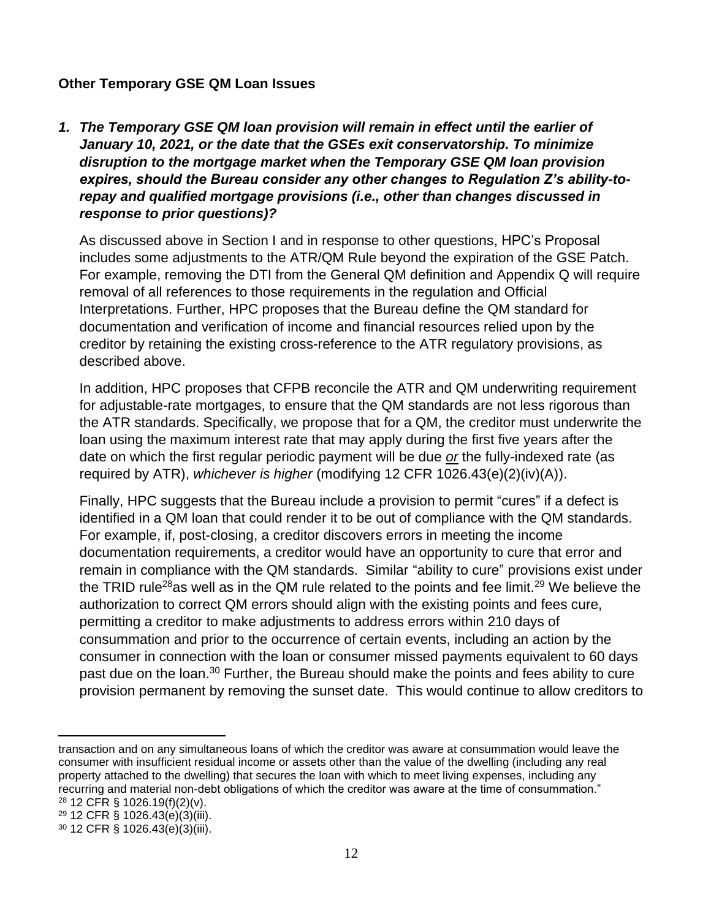#### **Other Temporary GSE QM Loan Issues**

*1. The Temporary GSE QM loan provision will remain in effect until the earlier of January 10, 2021, or the date that the GSEs exit conservatorship. To minimize disruption to the mortgage market when the Temporary GSE QM loan provision expires, should the Bureau consider any other changes to Regulation Z's ability-torepay and qualified mortgage provisions (i.e., other than changes discussed in response to prior questions)?*

As discussed above in Section I and in response to other questions, HPC's Proposal includes some adjustments to the ATR/QM Rule beyond the expiration of the GSE Patch. For example, removing the DTI from the General QM definition and Appendix Q will require removal of all references to those requirements in the regulation and Official Interpretations. Further, HPC proposes that the Bureau define the QM standard for documentation and verification of income and financial resources relied upon by the creditor by retaining the existing cross-reference to the ATR regulatory provisions, as described above.

In addition, HPC proposes that CFPB reconcile the ATR and QM underwriting requirement for adjustable-rate mortgages, to ensure that the QM standards are not less rigorous than the ATR standards. Specifically, we propose that for a QM, the creditor must underwrite the loan using the maximum interest rate that may apply during the first five years after the date on which the first regular periodic payment will be due *or* the fully-indexed rate (as required by ATR), *whichever is higher* (modifying 12 CFR 1026.43(e)(2)(iv)(A)).

Finally, HPC suggests that the Bureau include a provision to permit "cures" if a defect is identified in a QM loan that could render it to be out of compliance with the QM standards. For example, if, post-closing, a creditor discovers errors in meeting the income documentation requirements, a creditor would have an opportunity to cure that error and remain in compliance with the QM standards. Similar "ability to cure" provisions exist under the TRID rule<sup>28</sup>as well as in the QM rule related to the points and fee limit.<sup>29</sup> We believe the authorization to correct QM errors should align with the existing points and fees cure, permitting a creditor to make adjustments to address errors within 210 days of consummation and prior to the occurrence of certain events, including an action by the consumer in connection with the loan or consumer missed payments equivalent to 60 days past due on the loan.<sup>30</sup> Further, the Bureau should make the points and fees ability to cure provision permanent by removing the sunset date. This would continue to allow creditors to

transaction and on any simultaneous loans of which the creditor was aware at consummation would leave the consumer with insufficient residual income or assets other than the value of the dwelling (including any real property attached to the dwelling) that secures the loan with which to meet living expenses, including any recurring and material non-debt obligations of which the creditor was aware at the time of consummation." <sup>28</sup> 12 CFR § 1026.19(f)(2)(v).

<sup>29</sup> 12 CFR § 1026.43(e)(3)(iii).

 $30$  12 CFR § 1026.43(e)(3)(iii).